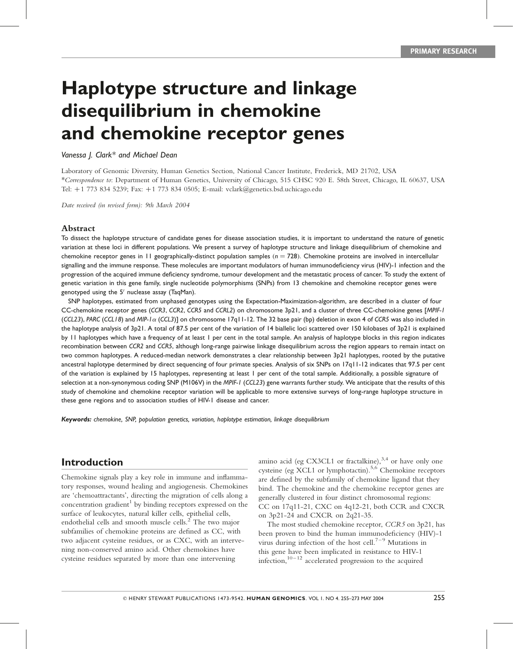# Haplotype structure and linkage disequilibrium in chemokine and chemokine receptor genes

#### Vanessa J. Clark\* and Michael Dean

Laboratory of Genomic Diversity, Human Genetics Section, National Cancer Institute, Frederick, MD 21702, USA \*Correspondence to: Department of Human Genetics, University of Chicago, 515 CHSC 920 E. 58th Street, Chicago, IL 60637, USA Tel: þ1 773 834 5239; Fax: þ1 773 834 0505; E-mail: vclark@genetics.bsd.uchicago.edu

Date received (in revised form): 9th March 2004

#### Abstract

To dissect the haplotype structure of candidate genes for disease association studies, it is important to understand the nature of genetic variation at these loci in different populations. We present a survey of haplotype structure and linkage disequilibrium of chemokine and chemokine receptor genes in 11 geographically-distinct population samples ( $n = 728$ ). Chemokine proteins are involved in intercellular signalling and the immune response. These molecules are important modulators of human immunodeficiency virus (HIV)-1 infection and the progression of the acquired immune deficiency syndrome, tumour development and the metastatic process of cancer. To study the extent of genetic variation in this gene family, single nucleotide polymorphisms (SNPs) from 13 chemokine and chemokine receptor genes were genotyped using the  $5^{\prime}$  nuclease assay (TaqMan).

SNP haplotypes, estimated from unphased genotypes using the Expectation-Maximization-algorithm, are described in a cluster of four CC-chemokine receptor genes (CCR3, CCR2, CCR5 and CCRL2) on chromosome 3p21, and a cluster of three CC-chemokine genes [MPIF-1 (CCL23), PARC (CCL18) and MIP-1<sup>a</sup> (CCL3)] on chromosome 17q11-12. The 32 base pair (bp) deletion in exon 4 of CCR5 was also included in the haplotype analysis of 3p21. A total of 87.5 per cent of the variation of 14 biallelic loci scattered over 150 kilobases of 3p21 is explained by 11 haplotypes which have a frequency of at least 1 per cent in the total sample. An analysis of haplotype blocks in this region indicates recombination between CCR2 and CCR5, although long-range pairwise linkage disequilibrium across the region appears to remain intact on two common haplotypes. A reduced-median network demonstrates a clear relationship between 3p21 haplotypes, rooted by the putative ancestral haplotype determined by direct sequencing of four primate species. Analysis of six SNPs on 17q11-12 indicates that 97.5 per cent of the variation is explained by 15 haplotypes, representing at least 1 per cent of the total sample. Additionally, a possible signature of selection at a non-synonymous coding SNP (M106V) in the MPIF-1 (CCL23) gene warrants further study. We anticipate that the results of this study of chemokine and chemokine receptor variation will be applicable to more extensive surveys of long-range haplotype structure in these gene regions and to association studies of HIV-1 disease and cancer.

Keywords: chemokine, SNP, population genetics, variation, haplotype estimation, linkage disequilibrium

# Introduction

Chemokine signals play a key role in immune and inflammatory responses, wound healing and angiogenesis. Chemokines are 'chemoattractants', directing the migration of cells along a concentration gradient<sup>1</sup> by binding receptors expressed on the surface of leukocytes, natural killer cells, epithelial cells, endothelial cells and smooth muscle cells.<sup>2</sup> The two major subfamilies of chemokine proteins are defined as CC, with two adjacent cysteine residues, or as CXC, with an intervening non-conserved amino acid. Other chemokines have cysteine residues separated by more than one intervening

amino acid (eg CX3CL1 or fractalkine),<sup>3,4</sup> or have only one cysteine (eg XCL1 or lymphotactin).<sup>5,6</sup> Chemokine receptors are defined by the subfamily of chemokine ligand that they bind. The chemokine and the chemokine receptor genes are generally clustered in four distinct chromosomal regions: CC on 17q11-21, CXC on 4q12-21, both CCR and CXCR on 3p21-24 and CXCR on 2q21-35.

The most studied chemokine receptor, CCR5 on 3p21, has been proven to bind the human immunodeficiency (HIV)-1 virus during infection of the host cell.<sup> $7-9$ </sup> Mutations in this gene have been implicated in resistance to HIV-1 infection,  $10-12$  accelerated progression to the acquired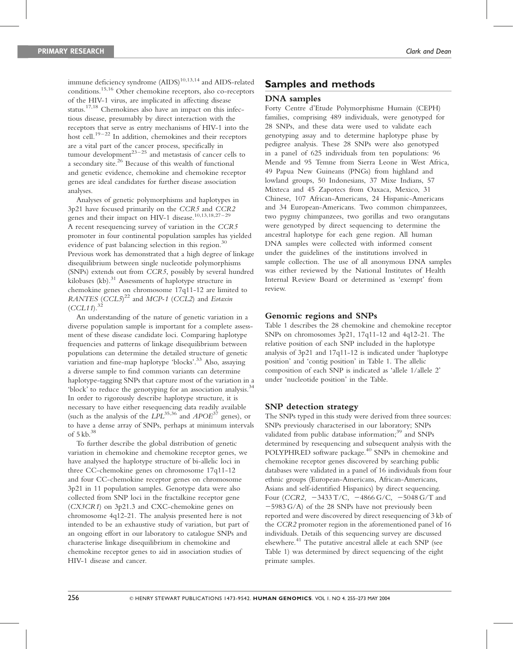immune deficiency syndrome (AIDS) 10,13,14 and AIDS-related conditions. <sup>1</sup>5,<sup>16</sup> Other chemokine receptors, also co-receptors of the HIV-1 virus, are implicated in affecting disease status.<sup>17,18</sup> Chemokines also have an impact on this infectious disease, presumably by direct interaction with the receptors that serve as entry mechanisms of HIV-1 into the host cell.<sup>19-22</sup> In addition, chemokines and their receptors are a vital part of the cancer process, specifically in tumour development $^{23-25}$  and metastasis of cancer cells to a secondary site.<sup>26</sup> Because of this wealth of functional and genetic evidence, chemokine and chemokine receptor genes are ideal candidates for further disease association analyses.

Analyses of genetic polymorphisms and haplotypes in 3p21 have focused primarily on the CCR5 and CCR2 genes and their impact on HIV-1 disease.<sup>10,13,18,27-29</sup> A recent resequencing survey of variation in the CCR5 promoter in four continental population samples has yielded evidence of past balancing selection in this region.<sup>30</sup> Previous work has demonstrated that a high degree of linkage disequilibrium between single nucleotide polymorphisms (SNPs) extends out from CCR5, possibly by several hundred kilobases (kb).<sup>31</sup> Assessments of haplotype structure in chemokine genes on chromosome 17q11-12 are limited to RANTES  $(CCL5)^{22}$  and MCP-1 (CCL2) and Eotaxin  $(CCL11)^{32}$ 

An understanding of the nature of genetic variation in a diverse population sample is important for a complete assessment of these disease candidate loci. Comparing haplotype frequencies and patterns of linkage disequilibrium between populations can determine the detailed structure of genetic variation and fine-map haplotype 'blocks'.<sup>33</sup> Also, assaying a diverse sample to find common variants can determine haplotype-tagging SNPs that capture most of the variation in a 'block' to reduce the genotyping for an association analysis.<sup>34</sup> In order to rigorously describe haplotype structure, it is necessary to have either resequencing data readily available (such as the analysis of the  $LPL^{35,36}$  and  $APOE^{37}$  genes), or to have a dense array of SNPs, perhaps at minimum intervals of 5 kb. 38

To further describe the global distribution of genetic variation in chemokine and chemokine receptor genes, we have analysed the haplotype structure of bi-allelic loci in three CC-chemokine genes on chromosome 17q11-12 and four CC-chemokine receptor genes on chromosome 3p21 in 11 population samples. Genotype data were also collected from SNP loci in the fractalkine receptor gene (CX3CR1) on 3p21.3 and CXC-chemokine genes on chromosome 4q12-21. The analysis presented here is not intended to be an exhaustive study of variation, but part of an ongoing effort in our laboratory to catalogue SNPs and characterise linkage disequilibrium in chemokine and chemokine receptor genes to aid in association studies of HIV-1 disease and cancer.

# Samples and methods

#### DNA samples

Forty Centre d'Etude Polymorphisme Humain (CEPH) families, comprising 489 individuals, were genotyped for 28 SNPs, and these data were used to validate each genotyping assay and to determine haplotype phase by pedigree analysis. These 28 SNPs were also genotyped in a panel of 625 individuals from ten populations: 96 Mende and 95 Temne from Sierra Leone in West Africa, 49 Papua New Guineans (PNGs) from highland and lowland groups, 50 Indonesians, 37 Mixe Indians, 57 Mixteca and 45 Zapotecs from Oaxaca, Mexico, 31 Chinese, 107 African-Americans, 24 Hispanic-Americans and 34 European-Americans. Two common chimpanzees, two pygmy chimpanzees, two gorillas and two orangutans were genotyped by direct sequencing to determine the ancestral haplotype for each gene region. All human DNA samples were collected with informed consent under the guidelines of the institutions involved in sample collection. The use of all anonymous DNA samples was either reviewed by the National Institutes of Health Internal Review Board or determined as 'exempt' from review.

#### Genomic regions and SNPs

Table 1 describes the 28 chemokine and chemokine receptor SNPs on chromosomes 3p21, 17q11-12 and 4q12-21. The relative position of each SNP included in the haplotype analysis of 3p21 and 17q11-12 is indicated under 'haplotype position' and 'contig position' in Table 1. The allelic composition of each SNP is indicated as 'allele 1/allele 2' under 'nucleotide position' in the Table.

#### SNP detection strategy

The SNPs typed in this study were derived from three sources: SNPs previously characterised in our laboratory; SNPs validated from public database information;<sup>39</sup> and SNPs determined by resequencing and subsequent analysis with the POLYPHRED software package. 40 SNPs in chemokine and chemokine receptor genes discovered by searching public databases were validated in a panel of 16 individuals from four ethnic groups (European-Americans, African-Americans, Asians and self-identified Hispanics) by direct sequencing. Four (CCR2,  $-3433$  T/C,  $-4866$  G/C,  $-5048$  G/T and  $-5983$  G/A) of the 28 SNPs have not previously been reported and were discovered by direct resequencing of 3 kb of the CCR2 promoter region in the aforementioned panel of 16 individuals. Details of this sequencing survey are discussed elsewhere. <sup>4</sup><sup>1</sup> The putative ancestral allele at each SNP (see Table 1) was determined by direct sequencing of the eight primate samples.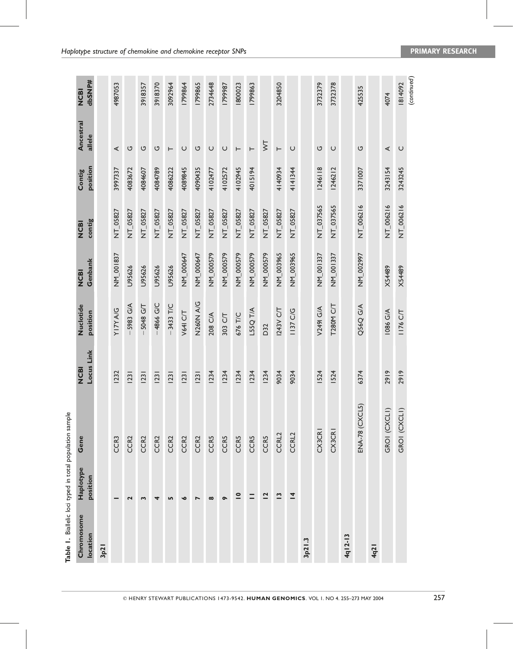| Table 1. Biallelic loci typed in total population sample |                          |                         |                          |                       |                        |                       |                    |                         |                       |
|----------------------------------------------------------|--------------------------|-------------------------|--------------------------|-----------------------|------------------------|-----------------------|--------------------|-------------------------|-----------------------|
| Chromosome<br>location                                   | Haplotype<br>position    | Gene                    | Locus Link<br><b>MOD</b> | Nuclotide<br>position | Genbank<br><b>NCBI</b> | contig<br><b>NCBI</b> | position<br>Contig | Ancestral<br>allele     | dbSNP#<br><b>NCBI</b> |
| 3p21                                                     |                          |                         |                          |                       |                        |                       |                    |                         |                       |
|                                                          |                          | CCR <sub>3</sub>        | <b>1232</b>              | <b>D/V A/LIA</b>      | NM_001837              | NT_05827              | 3997337            | ⋖                       | 4987053               |
|                                                          | 2                        | CCR <sub>2</sub>        | 23                       | $-5983$ G/A           | U95626                 | NT_05827              | 4083672            | U                       |                       |
|                                                          | S                        | CCR <sub>2</sub>        | 23                       | $-5048$ G/T           | U95626                 | NT_05827              | 4084607            | U                       | 3918357               |
|                                                          | 4                        | CCR <sub>2</sub>        | 23                       | -4866 G/C             | U95626                 | NT_05827              | 4084789            | U                       | 3918370               |
|                                                          | <b>LO</b>                | CCR <sub>2</sub>        | 23                       | $-3433$ T/C           | U95626                 | NT_05827              | 4086222            | $\vdash$                | 3092964               |
|                                                          | $\bullet$                | CCR <sub>2</sub>        | 23                       | <b>V64I C/T</b>       | NM_000647              | NT_05827              | 4089845            | $\cup$                  | 1799864               |
|                                                          | $\blacktriangleright$    | CCR <sub>2</sub>        | 23                       | N260N A/G             | NM_000647              | NT_05827              | 4090435            | U                       | 1799865               |
|                                                          | $\infty$                 | <b>CCR5</b>             | <b>1234</b>              | 208 C/A               | NM_000579              | NT_05827              | 4102477            | $\cup$                  | 2734648               |
|                                                          | $\bullet$                | <b>CCR5</b>             | <b>1234</b>              | 303 C/T               | NM_000579              | NT_05827              | 4102572            | $\cup$                  | 1799987               |
|                                                          | $\overline{\phantom{a}}$ | <b>CCR5</b>             | <b>1234</b>              | 676 T/C               | NM_000579              | NT_05827              | 4102945            | $\vdash$                | 1800023               |
|                                                          | $=$                      | <b>CCR5</b>             | <b>1234</b>              | L55Q T/A              | NM_000579              | NT_05827              | 4015194            | $\vdash$                | 1799863               |
|                                                          | $\overline{a}$           | <b>CCR5</b>             | 1234                     | D32                   | NM_000579              | NT_05827              |                    | $\overline{\mathsf{S}}$ |                       |
|                                                          | $\mathbf{r}$             | CCRL2                   | 9034                     | 1243V C/T             | NM_003965              | NT_05827              | 4140934            | $\vdash$                | 3204850               |
|                                                          | $\overline{4}$           | CCRL2                   | 9034                     | 1137 C/G              | NM_003965              | NT_05827              | 4141344            | $\cup$                  |                       |
| 3p21.3                                                   |                          |                         |                          |                       |                        |                       |                    |                         |                       |
|                                                          |                          | CX3CRI                  | <b>IS24</b>              | V2491 G/A             | NM_001337              | NT_037565             | 1246118            | U                       | 3732379               |
|                                                          |                          | <b>CX3CRI</b>           | <b>IS24</b>              | <b>T280M C/T</b>      | NM_001337              | NT_037565             | 1246212            | $\cup$                  | 3732378               |
| 4q12-13                                                  |                          |                         |                          |                       |                        |                       |                    |                         |                       |
|                                                          |                          | <b>ENA-78 (CXCL5)</b>   | 6374                     | Q56Q G/A              | NM 002997              | NT_006216             | 3371007            | ပ                       | 425535                |
| 4q21                                                     |                          |                         |                          |                       |                        |                       |                    |                         |                       |
|                                                          |                          | GROI (CXCLI)            | 2919                     | 1086 G/A              | <b>X54489</b>          | NT_006216             | 3243154            | ⋖                       | 4074                  |
|                                                          |                          | $\hat{=}$<br>GROI (CXCL | 2919                     | 1176 C/T              | X54489                 | NT_006216             | 3243245            | $\cup$                  | 1814092               |
|                                                          |                          |                         |                          |                       |                        |                       |                    |                         | (continued)           |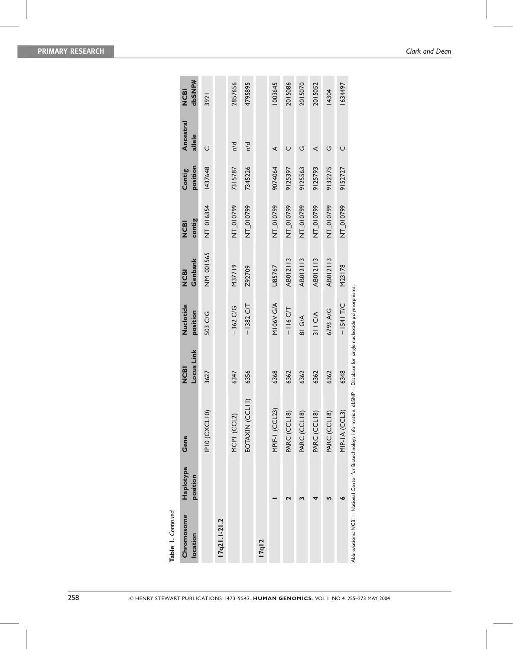| Chromosome<br>location | Haplotype<br>position | Gene                                                                                                                       | Locus Link<br><b>NCBI</b> | Nuclotide<br>position | Genbank<br><b>NCBI</b> | contig<br><b>NCBI</b> | position<br>Contig | Ancestral<br>allele | dbSNP#<br><b>NCBI</b> |
|------------------------|-----------------------|----------------------------------------------------------------------------------------------------------------------------|---------------------------|-----------------------|------------------------|-----------------------|--------------------|---------------------|-----------------------|
|                        |                       | IPIO (CXCLIO)                                                                                                              | 3627                      | 503 C/G               | NM_001565              | NT_016354             | 1437648            | $\cup$              | 3921                  |
| I7q21.1-21.2           |                       |                                                                                                                            |                           |                       |                        |                       |                    |                     |                       |
|                        |                       | MCPI (CCL2)                                                                                                                | 6347                      | $-362$ C/G            | M37719                 | NT_010799             | 7315787            | n/d                 | 2857656               |
|                        |                       | EOTAXIN (CCLII)                                                                                                            | 6356                      | $-1382$ C/T           | Z92709                 | NT_010799             | 7345226            | n/d                 | 4795895               |
| <b>17q12</b>           |                       |                                                                                                                            |                           |                       |                        |                       |                    |                     |                       |
|                        |                       | MPIF-I (CCL23)                                                                                                             | 6368                      | M106V G/A             | U85767                 | NT_010799             | 9074064            | ⋖                   | 1003645               |
|                        |                       | PARC (CCL18)                                                                                                               | 6362                      | $-116$ C/T            | AB012113               | NT_010799             | 9125397            | $\cup$              | 2015086               |
|                        |                       | PARC (CCLI8)                                                                                                               | 6362                      | 81 G/A                | AB012113               | NT_010799             | 9125563            | U                   | 2015070               |
|                        |                       | PARC (CCL18)                                                                                                               | 6362                      | 311 C/A               | AB012113               | NT_010799             | 9125793            | ⋖                   | 2015052               |
|                        |                       | PARC (CCL18)                                                                                                               | 6362                      | 6793 A/G              | AB012113               | NT_010799             | 9132275            | U                   | 14304                 |
|                        |                       | MIP-IA (CCL3                                                                                                               | 6348                      | $-1541$ T/C           | M23178                 | NT_010799             | 9152727            | $\cup$              | 1634497               |
|                        |                       | Abbreviations: NCBI = National Center for Biotechnology Information; dbSNP = Database for single nucleotide polymorphisms. |                           |                       |                        |                       |                    |                     |                       |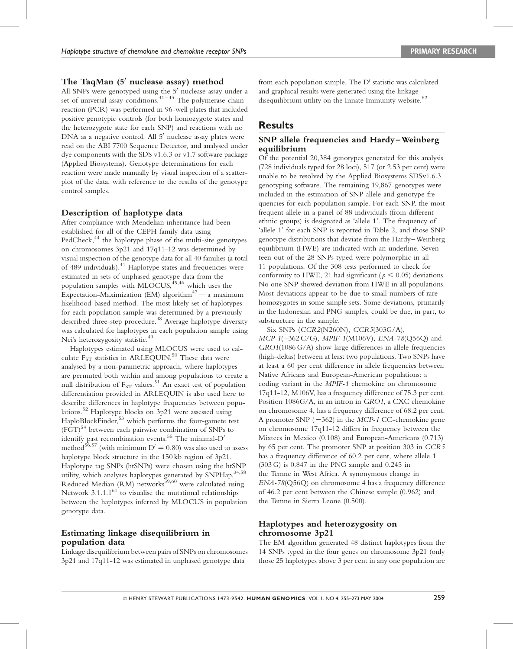## The TaqMan  $5'$  nuclease assay) method

All SNPs were genotyped using the 5' nuclease assay under a set of universal assay conditions.<sup>41-43</sup> The polymerase chain reaction (PCR) was performed in 96-well plates that included positive genotypic controls (for both homozygote states and the heterozygote state for each SNP) and reactions with no DNA as a negative control. All 5' nuclease assay plates were read on the ABI 7700 Sequence Detector, and analysed under dye components with the SDS v1.6.3 or v1.7 software package (Applied Biosystems). Genotype determinations for each reaction were made manually by visual inspection of a scatterplot of the data, with reference to the results of the genotype control samples.

## Description of haplotype data

After compliance with Mendelian inheritance had been established for all of the CEPH family data using PedCheck,<sup>44</sup> the haplotype phase of the multi-site genotypes on chromosomes 3p21 and 17q11-12 was determined by visual inspection of the genotype data for all 40 families (a total of 489 individuals).<sup>41</sup> Haplotype states and frequencies were estimated in sets of unphased genotype data from the population samples with MLOCUS,  $45,46$  which uses the Expectation-Maximization (EM) algorithm <sup>4</sup>7— a maximum likelihood-based method. The most likely set of haplotypes for each population sample was determined by a previously described three-step procedure. <sup>48</sup> Average haplotype diversity was calculated for haplotypes in each population sample using Nei's heterozygosity statistic. 49

Haplotypes estimated using MLOCUS were used to calculate  $F_{ST}$  statistics in ARLEQUIN.<sup>50</sup> These data were analysed by a non-parametric approach, where haplotypes are permuted both within and among populations to create a null distribution of  $F_{ST}$  values.<sup>51</sup> An exact test of population differentiation provided in ARLEQUIN is also used here to describe differences in haplotype frequencies between populations. <sup>5</sup><sup>2</sup> Haplotype blocks on 3p21 were assessed using HaploBlockFinder, <sup>5</sup><sup>3</sup> which performs the four-gamete test (FGT) <sup>54</sup> between each pairwise combination of SNPs to identify past recombination events.<sup>55</sup> The minimal- $D'$ method<sup>56,57</sup> (with minimum  $D' = 0.80$ ) was also used to assess haplotype block structure in the 150 kb region of 3p21. Haplotype tag SNPs (htSNPs) were chosen using the htSNP utility, which analyses haplotypes generated by SNPHap.<sup>34,58</sup> Reduced Median (RM) networks <sup>5</sup>9,<sup>60</sup> were calculated using Network  $3.1.1.1^{61}$  to visualise the mutational relationships between the haplotypes inferred by MLOCUS in population genotype data.

## Estimating linkage disequilibrium in population data

Linkage disequilibrium between pairs of SNPs on chromosomes 3p21 and 17q11-12 was estimated in unphased genotype data

from each population sample. The  $D'$  statistic was calculated and graphical results were generated using the linkage disequilibrium utility on the Innate Immunity website.<sup>62</sup>

# **Results**

## SNP allele frequencies and Hardy–Weinberg equilibrium

Of the potential 20,384 genotypes generated for this analysis (728 individuals typed for 28 loci), 517 (or 2.53 per cent) were unable to be resolved by the Applied Biosystems SDSv1.6.3 genotyping software. The remaining 19,867 genotypes were included in the estimation of SNP allele and genotype frequencies for each population sample. For each SNP, the most frequent allele in a panel of 88 individuals (from different ethnic groups) is designated as 'allele 1'. The frequency of 'allele 1' for each SNP is reported in Table 2, and those SNP genotype distributions that deviate from the Hardy–Weinberg equilibrium (HWE) are indicated with an underline. Seventeen out of the 28 SNPs typed were polymorphic in all 11 populations. Of the 308 tests performed to check for conformity to HWE, 21 had significant ( $p < 0.05$ ) deviations. No one SNP showed deviation from HWE in all populations. Most deviations appear to be due to small numbers of rare homozygotes in some sample sets. Some deviations, primarily in the Indonesian and PNG samples, could be due, in part, to substructure in the sample.

Six SNPs (CCR2(N260N), CCR5(303G/A), MCP-1(-362 C/G), MPIF-1(M106V), ENA-78(Q56Q) and GRO1(1086 G/A) show large differences in allele frequencies (high-deltas) between at least two populations. Two SNPs have at least a 60 per cent difference in allele frequencies between Native Africans and European-American populations: a coding variant in the MPIF-1 chemokine on chromosome 17q11-12, M106V, has a frequency difference of 75.3 per cent. Position 1086G/A, in an intron in GRO1, a CXC chemokine on chromosome 4, has a frequency difference of 68.2 per cent. A promoter SNP  $(-362)$  in the MCP-1 CC-chemokine gene on chromosome 17q11-12 differs in frequency between the Mixtecs in Mexico (0.108) and European-Americans (0.713) by 65 per cent. The promoter SNP at position 303 in CCR5 has a frequency difference of 60.2 per cent, where allele 1 (303 G) is 0.847 in the PNG sample and 0.245 in the Temne in West Africa. A synonymous change in  $ENA-78(Q56Q)$  on chromosome 4 has a frequency difference of 46.2 per cent between the Chinese sample (0.962) and the Temne in Sierra Leone (0.500).

## Haplotypes and heterozygosity on chromosome 3p21

The EM algorithm generated 48 distinct haplotypes from the 14 SNPs typed in the four genes on chromosome 3p21 (only those 25 haplotypes above 3 per cent in any one population are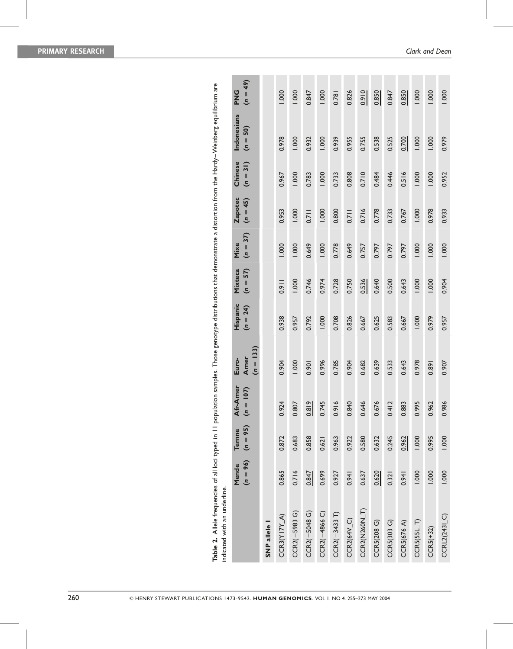| indicated with an underline. |                     |                     |                                |                              |                        |                       |                    |                              |                       |                           |                          |
|------------------------------|---------------------|---------------------|--------------------------------|------------------------------|------------------------|-----------------------|--------------------|------------------------------|-----------------------|---------------------------|--------------------------|
|                              | $(n = 96)$<br>Mende | $(n = 95)$<br>Temne | <b>Afr-Amer</b><br>$(n = 107)$ | $(n = 133)$<br>Amer<br>Euro- | Hispanic<br>$(n = 24)$ | Mixteca<br>$(n = 57)$ | $(n = 37)$<br>Mixe | <b>Zapotec</b><br>$(n = 45)$ | Chinese<br>$(n = 31)$ | Indonesians<br>$(n = 50)$ | $(n = 49)$<br><b>UNG</b> |
| SNP allele                   |                     |                     |                                |                              |                        |                       |                    |                              |                       |                           |                          |
| $CCR3(Y17Y_A)$               | 0.865               | 0.872               | 924<br>$\dot{\circ}$           | 0.904                        | 0.938                  | 0.911                 | 1.000              | 0.953                        | 0.967                 | 0.978                     | 1.000                    |
| $CCR2(-5983 G)$              | 0.716               | 0.683               | 807<br>ö                       | 1.000                        | 0.957                  | 1.000                 | 1.000              | 1.000                        | 1.000                 | 1.000                     | 1.000                    |
| $CCR2(-5048 G)$              | 0.847               | 0.858               | $\frac{1}{8}$<br><u>්</u>      | 0.901                        | 0.792                  | 0.746                 | 0.649              | 0.711                        | 0.783                 | 0.932                     | 0.847                    |
| $CCR2(-4866)$                | 0.699               | 0.621               | 745<br>6                       | 0.996                        | 1.000                  | 0.974                 | 1.000              | 1.000                        | 1.000                 | 1.000                     | 1.000                    |
| $CCR2(-3433 T)$              | 0.927               | 0.963               | 916<br>ö                       | 0.785                        | 0.708                  | 0.728                 | 0.778              | 0.800                        | 0.733                 | 0.939                     | 0.781                    |
| $CCR2(64V_C)$                | 0.941               | 0.922               | 840<br>ö                       | 0.904                        | 0.826                  | 0.750                 | 0.649              | 0.711                        | 0.808                 | 0.955                     | 0.826                    |
| CCR2(N260N_T)                | 0.637               | 0.580               | 646<br>ö                       | 0.682                        | 0.667                  | 0.536                 | 0.757              | 0.716                        | 0.710                 | 0.755                     | 0.910                    |
| CCR5(208 G)                  | 0.620               | 0.632               | 676<br>$\dot{\circ}$           | 0.639                        | 0.625                  | 0.640                 | 0.797              | 0.778                        | 0.484                 | 0.538                     | 0.850                    |
| CCR5(303 G)                  | 0.321               | 0.245               | 412<br>6                       | 0.533                        | 0.583                  | 0.500                 | 0.797              | 0.733                        | 0.446                 | 0.525                     | 0.847                    |
| <b>CCR5(676 A)</b>           | 0.941               | 0.962               | 883<br>ö                       | 0.643                        | 0.667                  | 0.643                 | 0.797              | 0.767                        | 0.516                 | 0.700                     | 0.850                    |
| $CCRS(55L_T)$                | 1.000               | 1.000               | 995<br>ö                       | 0.978                        | 1.000                  | 1.000                 | 1.000              | 1.000                        | 1.000                 | 1.000                     | 1.000                    |
| $CCRS(+32)$                  | 1.000               | 0.995               | 962<br>ö                       | 0.891                        | 0.979                  | 1.000                 | 1.000              | 0.978                        | 1.000                 | 1.000                     | 1.000                    |
| $CCHL(243I_C)$               | 1.000               | 1.000               | 986<br>$\dot{\circ}$           | 0.907                        | 0.957                  | 0.904                 | 1.000              | 0.933                        | 0.952                 | 0.979                     | 1.000                    |

Table 2. Allele frequencies of all loci typed in 11 population samples. Those genotype distributions that demonstrate a distortion from the Hardy-Weinberg equilibrium are Table 2. Allele frequencies of all loci typed in 11 population samples. Those genotype distributions that demonstrate a distortion from the Hardy–Weinberg equilibrium are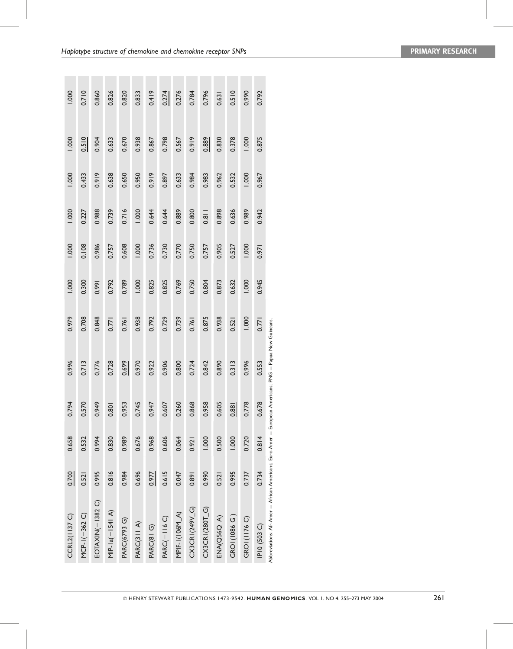| <b>CCRL2(1137 C)</b>                                                                                   | 0.700 | 0.658 | 794<br>O            | 0.996 | 0.979 | 1.000 | 1.000 | 1.000 | 1.000 | 1.000 | 1.000 |
|--------------------------------------------------------------------------------------------------------|-------|-------|---------------------|-------|-------|-------|-------|-------|-------|-------|-------|
| $MCP-I(-362C)$                                                                                         | 0.521 | 0.532 | 570<br>ö            | 0.713 | 0.708 | 0.300 | 0.108 | 0.227 | 0.433 | 0.510 | 0.710 |
| EOTAXIN(-1382 C)                                                                                       | 0.995 | 0.994 | 949<br>0            | 0.776 | 0.848 | 0.991 | 0.986 | 0.988 | 0.919 | 0.904 | 0.860 |
| $MIP-1a(-1541 A)$                                                                                      | 0.816 | 0.830 | $\overline{8}$<br>0 | 0.728 | 0.771 | 0.792 | 0.757 | 0.739 | 0.638 | 0.633 | 0.826 |
| PARC(6793 G)                                                                                           | 0.984 | 0.989 | 953<br>O            | 0.699 | 0.761 | 0.789 | 0.608 | 0.716 | 0.650 | 0.670 | 0.820 |
| PARC(311 A)                                                                                            | 0.696 | 0.676 | 745<br>O            | 0.970 | 0.938 | 1.000 | 1.000 | 1.000 | 0.950 | 0.938 | 0.833 |
| PARC(81 G)                                                                                             | 0.977 | 0.968 | 47<br>ö             | 0.922 | 0.792 | 0.825 | 0.736 | 0.644 | 0.919 | 0.867 | 0.419 |
| PARC(-116 C)                                                                                           | 0.615 | 0.606 | 607<br>ö            | 0.906 | 0.729 | 0.825 | 0.730 | 0.644 | 0.897 | 0.798 | 0.274 |
| MPIF-1(106M_A)                                                                                         | 0.047 | 0.064 | 260<br>ö            | 0.800 | 0.739 | 0.769 | 0.770 | 0.889 | 0.633 | 0.567 | 0.276 |
| CX3CRI(249V_G)                                                                                         | 0.891 | 0.921 | 868<br>O            | 0.724 | 0.761 | 0.750 | 0.750 | 0.800 | 0.984 | 0.919 | 0.784 |
| CX3CRI(280T_G)                                                                                         | 0.990 | 1.000 | 958<br>ö            | 0.842 | 0.875 | 0.804 | 0.757 | 0.811 | 0.983 | 0.889 | 0.796 |
| $ENA(Q56Q_A)$                                                                                          | 0.521 | 0.500 | 605<br>ö            | 0.890 | 0.938 | 0.873 | 0.905 | 0.898 | 0.962 | 0.830 | 0.631 |
| GROI(1086 G)                                                                                           | 0.995 | 1.000 | $-88$<br>ol         | 0.313 | 0.521 | 0.632 | 0.527 | 0.636 | 0.532 | 0.378 | 0.510 |
| <b>GROI(II76 C)</b>                                                                                    | 0.737 | 0.720 | 778<br>O            | 0.996 | 1.000 | 1.000 | 1.000 | 0.989 | 1.000 | 1.000 | 0.990 |
| IP10 (503 C)                                                                                           | 0.734 | 0.814 | 678<br>ö            | 0.553 | 0.771 | 0.945 | 0.971 | 0.942 | 0.967 | 0.875 | 0.792 |
| Abbreviations: Afr-Amer = African-Americans; Euro-Amer = European-Americans; PNG = Papua New Guineans. |       |       |                     |       |       |       |       |       |       |       |       |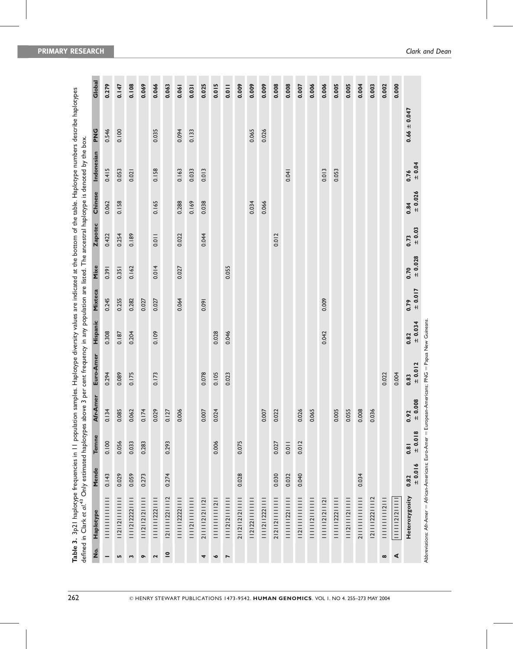|                                       | Table 3. 3p21 haplotype frequencies in 11 population samples. Haplotype diversity values are indicated at the bottom of the table. Haplotype numbers describe haplotypes<br>defined in Clark et al. <sup>43</sup> Only estimated haplotypes ab |                 |                 |                          | ove 3 per cent frequency in any population are listed. The ancestral haplotype is denoted by the box. |                |                |                   |                    |                |               |                  |        |
|---------------------------------------|------------------------------------------------------------------------------------------------------------------------------------------------------------------------------------------------------------------------------------------------|-----------------|-----------------|--------------------------|-------------------------------------------------------------------------------------------------------|----------------|----------------|-------------------|--------------------|----------------|---------------|------------------|--------|
| $\frac{\dot{\mathsf{o}}}{\mathsf{Z}}$ | Haplotype                                                                                                                                                                                                                                      | Mende           | Temne           | <b>Ir-Amer</b><br>ই      | Euro-Amer                                                                                             | Hispanic       | Mixteca        | Mixe              | <b>Zapotec</b>     | Chinese        | Indonesian    | PNG              | Global |
|                                       | <br> <br> <br> <br> <br> <br>                                                                                                                                                                                                                  | 0.143           | 0.100           | 34<br>$\overline{\circ}$ | 0.294                                                                                                 | 0.308          | 0.245          | 0.391             | 0.422              | 0.062          | 0.415         | 0.546            | 0.279  |
| Lŋ,                                   | 11211211111111                                                                                                                                                                                                                                 | 0.029           | 0.056           | 85<br>$\frac{0}{2}$      | 0.089                                                                                                 | 0.187          | 0.255          | 0.351             | 0.254              | 0.158          | 0.053         | 0.100            | 0.147  |
| S                                     | 2 2222                                                                                                                                                                                                                                         | 0.059           | 0.033           | 0.062                    | 0.175                                                                                                 | 0.204          | 0.282          | 0.162             | 0.189              |                | 0.021         |                  | 0.108  |
| $\bullet$                             | 11121121211111                                                                                                                                                                                                                                 | 0.273           | 0.283           | 74<br>$\overline{\circ}$ |                                                                                                       |                | 0.027          |                   |                    |                |               |                  | 0.069  |
| 2                                     | 1222                                                                                                                                                                                                                                           |                 |                 | 0.029                    | 0.173                                                                                                 | 0.109          | 0.027          | 0.014             | 0.011              | 0.165          | 0.158         | 0.035            | 0.066  |
| $\overline{\phantom{a}}$              | 2     22   2                                                                                                                                                                                                                                   | 0.274           | 0.293           | 27<br>$\overline{\circ}$ |                                                                                                       |                |                |                   |                    |                |               |                  | 0.063  |
|                                       | 11111122221111                                                                                                                                                                                                                                 |                 |                 | 0.006                    |                                                                                                       |                | 0.064          | 0.027             | 0.022              | 0.288          | 0.163         | 0.094            | 0.061  |
|                                       | 1111211111111111                                                                                                                                                                                                                               |                 |                 |                          |                                                                                                       |                |                |                   |                    | 0.169          | 0.033         | 0.133            | 0.031  |
| 4                                     | 21111212112                                                                                                                                                                                                                                    |                 |                 | 0.007                    | 0.078                                                                                                 |                | 0.091          |                   | 0.044              | 0.038          | 0.013         |                  | 0.025  |
| $\bullet$                             | 111111111121                                                                                                                                                                                                                                   |                 | 0.006           | 0.024                    | 0.105                                                                                                 | 0.028          |                |                   |                    |                |               |                  | 0.015  |
| $\overline{ }$                        | 2   2                                                                                                                                                                                                                                          |                 |                 |                          | 0.023                                                                                                 | 0.046          |                | 0.055             |                    |                |               |                  | 0.011  |
|                                       | 21121121211111                                                                                                                                                                                                                                 | 0.028           | 0.075           |                          |                                                                                                       |                |                |                   |                    |                |               |                  | 0.009  |
|                                       | 2   22                                                                                                                                                                                                                                         |                 |                 |                          |                                                                                                       |                |                |                   |                    | 0.034          |               | 0.065            | 0.009  |
|                                       | 2                                                                                                                                                                                                                                              |                 |                 | 0.007                    |                                                                                                       |                |                |                   |                    | 0.066          |               | 0.026            | 0.009  |
|                                       | 2121121111111                                                                                                                                                                                                                                  | 0.030           | 0.027           | 22<br>$\frac{0}{2}$      |                                                                                                       |                |                |                   | 0.012              |                |               |                  | 0.008  |
|                                       | 22                                                                                                                                                                                                                                             | 0.032           | 0.011           |                          |                                                                                                       |                |                |                   |                    |                | 0.041         |                  | 0.008  |
|                                       |                                                                                                                                                                                                                                                | 0.040           | 0.012           | 0.026                    |                                                                                                       |                |                |                   |                    |                |               |                  | 0.007  |
|                                       | 111112111111                                                                                                                                                                                                                                   |                 |                 | 65<br>$\frac{0}{2}$      |                                                                                                       |                |                |                   |                    |                |               |                  | 0.006  |
|                                       | 2  2        2                                                                                                                                                                                                                                  |                 |                 |                          |                                                                                                       | 0.042          | 0.009          |                   |                    |                | 0.013         |                  | 0.006  |
|                                       | 11111122211111                                                                                                                                                                                                                                 |                 |                 | 0.005                    |                                                                                                       |                |                |                   |                    |                | 0.053         |                  | 0.005  |
|                                       | 11121111211111                                                                                                                                                                                                                                 |                 |                 | 0.055                    |                                                                                                       |                |                |                   |                    |                |               |                  | 0.005  |
|                                       |                                                                                                                                                                                                                                                | 0.034           |                 | 0.008                    |                                                                                                       |                |                |                   |                    |                |               |                  | 0.004  |
|                                       | 2    222   2                                                                                                                                                                                                                                   |                 |                 | 0.036                    |                                                                                                       |                |                |                   |                    |                |               |                  | 0.003  |
| $\infty$                              | 11111111112111                                                                                                                                                                                                                                 |                 |                 |                          | 0.022                                                                                                 |                |                |                   |                    |                |               |                  | 0.002  |
| ⋖                                     | $ $        2  2                                                                                                                                                                                                                                |                 |                 |                          | 0.004                                                                                                 |                |                |                   |                    |                |               |                  | 0.000  |
|                                       | Heterozygosity                                                                                                                                                                                                                                 | ± 0.016<br>0.82 | ± 0.018<br>0.81 | 0.008<br>$rac{6}{9}$ +   | ± 0.012<br>0.83                                                                                       | 10.034<br>0.82 | 10.017<br>0.79 | $= 0.028$<br>0.70 | $\pm 0.03$<br>0.73 | 10.026<br>0.84 | 10.04<br>0.76 | $0.66 \pm 0.047$ |        |

Abbreviations: Afr-Amer ¼ African-Americans; Euro-Amer ¼ European-Americans; PNG ¼ Papua New Guineans.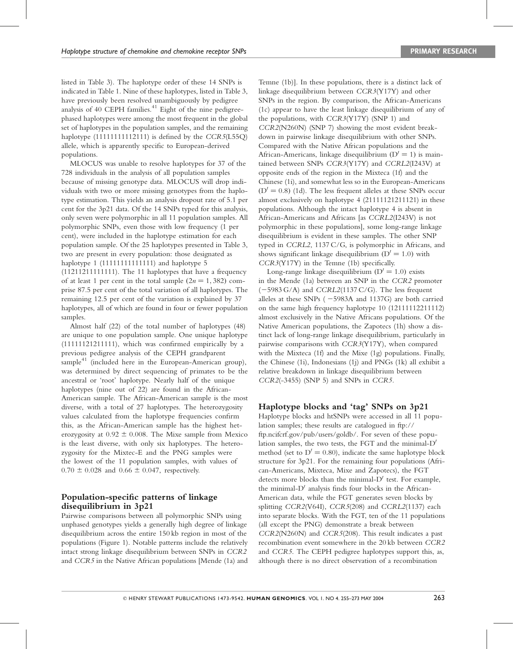listed in Table 3). The haplotype order of these 14 SNPs is indicated in Table 1. Nine of these haplotypes, listed in Table 3, have previously been resolved unambiguously by pedigree analysis of 40 CEPH families. 41 Eight of the nine pedigreephased haplotypes were among the most frequent in the global set of haplotypes in the population samples, and the remaining haplotype (11111111112111) is defined by the CCR5(L55Q) allele, which is apparently specific to European-derived populations.

MLOCUS was unable to resolve haplotypes for 37 of the 728 individuals in the analysis of all population samples because of missing genotype data. MLOCUS will drop individuals with two or more missing genotypes from the haplotype estimation. This yields an analysis dropout rate of 5.1 per cent for the 3p21 data. Of the 14 SNPs typed for this analysis, only seven were polymorphic in all 11 population samples. All polymorphic SNPs, even those with low frequency (1 per cent), were included in the haplotype estimation for each population sample. Of the 25 haplotypes presented in Table 3, two are present in every population: those designated as haplotype 1 (11111111111111) and haplotype 5 (11211211111111). The 11 haplotypes that have a frequency of at least 1 per cent in the total sample  $(2n = 1, 382)$  comprise 87.5 per cent of the total variation of all haplotypes. The remaining 12.5 per cent of the variation is explained by 37 haplotypes, all of which are found in four or fewer population samples.

Almost half (22) of the total number of haplotypes (48) are unique to one population sample. One unique haplotype (11111121211111), which was confirmed empirically by a previous pedigree analysis of the CEPH grandparent sample<sup>41</sup> (included here in the European-American group), was determined by direct sequencing of primates to be the ancestral or 'root' haplotype. Nearly half of the unique haplotypes (nine out of 22) are found in the African-American sample. The African-American sample is the most diverse, with a total of 27 haplotypes. The heterozygosity values calculated from the haplotype frequencies confirm this, as the African-American sample has the highest heterozygosity at  $0.92 \pm 0.008$ . The Mixe sample from Mexico is the least diverse, with only six haplotypes. The heterozygosity for the Mixtec-E and the PNG samples were the lowest of the 11 population samples, with values of  $0.70 \pm 0.028$  and  $0.66 \pm 0.047$ , respectively.

#### Population-specific patterns of linkage disequilibrium in 3p21

Pairwise comparisons between all polymorphic SNPs using unphased genotypes yields a generally high degree of linkage disequilibrium across the entire 150 kb region in most of the populations (Figure 1). Notable patterns include the relatively intact strong linkage disequilibrium between SNPs in CCR2 and CCR5 in the Native African populations [Mende (1a) and

Temne (1b)]. In these populations, there is a distinct lack of linkage disequilibrium between CCR3(Y17Y) and other SNPs in the region. By comparison, the African-Americans (1c) appear to have the least linkage disequilibrium of any of the populations, with CCR3(Y17Y) (SNP 1) and CCR2(N260N) (SNP 7) showing the most evident breakdown in pairwise linkage disequilibrium with other SNPs. Compared with the Native African populations and the African-Americans, linkage disequilibrium  $(D' = 1)$  is maintained between SNPs CCR3(Y17Y) and CCRL2(I243V) at opposite ends of the region in the Mixteca (1f) and the Chinese (1i), and somewhat less so in the European-Americans  $(D' = 0.8)$  (1d). The less frequent alleles at these SNPs occur almost exclusively on haplotype 4 (21111121211121) in these populations. Although the intact haplotype 4 is absent in African-Americans and Africans [as CCRL2(I243V) is not polymorphic in these populations], some long-range linkage disequilibrium is evident in these samples. The other SNP typed in CCRL2, 1137 C/G, is polymorphic in Africans, and shows significant linkage disequilibrium  $(D' = 1.0)$  with CCR3(Y17Y) in the Temne (1b) specifically.

Long-range linkage disequilibrium  $(D' = 1.0)$  exists in the Mende (1a) between an SNP in the CCR2 promoter  $(-5983 \text{ G/A})$  and CCRL2(1137 C/G). The less frequent alleles at these SNPs ( $-5983A$  and 1137G) are both carried on the same high frequency haplotype 10 (12111112211112) almost exclusively in the Native Africans populations. Of the Native American populations, the Zapotecs (1h) show a distinct lack of long-range linkage disequilibrium, particularly in pairwise comparisons with CCR3(Y17Y), when compared with the Mixteca (1f) and the Mixe (1g) populations. Finally, the Chinese (1i), Indonesians (1j) and PNGs (1k) all exhibit a relative breakdown in linkage disequilibrium between CCR2(-3455) (SNP 5) and SNPs in CCR5.

### Haplotype blocks and 'tag' SNPs on 3p21

Haplotype blocks and htSNPs were accessed in all 11 population samples; these results are catalogued in ftp:// ftp.ncifcrf.gov/pub/users/goldb/. For seven of these population samples, the two tests, the FGT and the minimal- $D'$ method (set to  $D' = 0.80$ ), indicate the same haplotype block structure for 3p21. For the remaining four populations (African-Americans, Mixteca, Mixe and Zapotecs), the FGT detects more blocks than the minimal- $D'$  test. For example, the minimal- $D'$  analysis finds four blocks in the African-American data, while the FGT generates seven blocks by splitting CCR2(V64I), CCR5(208) and CCRL2(1137) each into separate blocks. With the FGT, ten of the 11 populations (all except the PNG) demonstrate a break between  $CCR2(N260N)$  and  $CCR5(208)$ . This result indicates a past recombination event somewhere in the 20 kb between CCR2 and CCR5. The CEPH pedigree haplotypes support this, as, although there is no direct observation of a recombination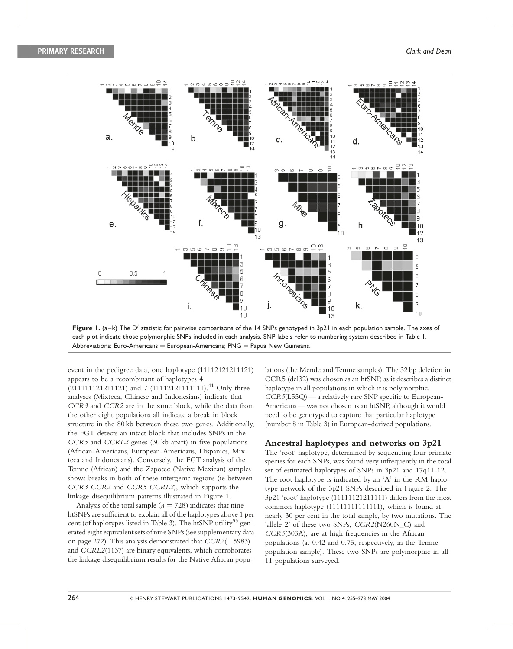

Abbreviations: Euro-Americans = European-Americans;  $PNG =$  Papua New Guineans.

event in the pedigree data, one haplotype (11112121211121) appears to be a recombinant of haplotypes 4 (211111121211121) and 7 (11112121111111).<sup>41</sup> Only three analyses (Mixteca, Chinese and Indonesians) indicate that CCR3 and CCR2 are in the same block, while the data from the other eight populations all indicate a break in block structure in the 80 kb between these two genes. Additionally, the FGT detects an intact block that includes SNPs in the CCR5 and CCRL2 genes (30 kb apart) in five populations (African-Americans, European-Americans, Hispanics, Mixteca and Indonesians). Conversely, the FGT analysis of the Temne (African) and the Zapotec (Native Mexican) samples shows breaks in both of these intergenic regions (ie between CCR3-CCR2 and CCR5-CCRL2), which supports the linkage disequilibrium patterns illustrated in Figure 1.

Analysis of the total sample  $(n = 728)$  indicates that nine htSNPs are sufficient to explain all of the haplotypes above 1 per cent (of haplotypes listed in Table 3). The htSNP utility<sup>53</sup> generated eight equivalent sets of nine SNPs (see supplementary data on page 272). This analysis demonstrated that  $CCR2(-5983)$ and CCRL2(1137) are binary equivalents, which corroborates the linkage disequilibrium results for the Native African populations (the Mende and Temne samples). The 32 bp deletion in CCR5 (del32) was chosen as an htSNP, as it describes a distinct haplotype in all populations in which it is polymorphic.  $CCR5(L55Q)$  — a relatively rare SNP specific to European-Americans —was not chosen as an htSNP, although it would need to be genotyped to capture that particular haplotype (number 8 in Table 3) in European-derived populations.

#### Ancestral haplotypes and networks on 3p21

The 'root' haplotype, determined by sequencing four primate species for each SNPs, was found very infrequently in the total set of estimated haplotypes of SNPs in 3p21 and 17q11-12. The root haplotype is indicated by an 'A' in the RM haplotype network of the 3p21 SNPs described in Figure 2. The 3p21 'root' haplotype (11111121211111) differs from the most common haplotype (11111111111111), which is found at nearly 30 per cent in the total sample, by two mutations. The 'allele 2' of these two SNPs, CCR2(N260N\_C) and CCR5(303A), are at high frequencies in the African populations (at 0.42 and 0.75, respectively, in the Temne population sample). These two SNPs are polymorphic in all 11 populations surveyed.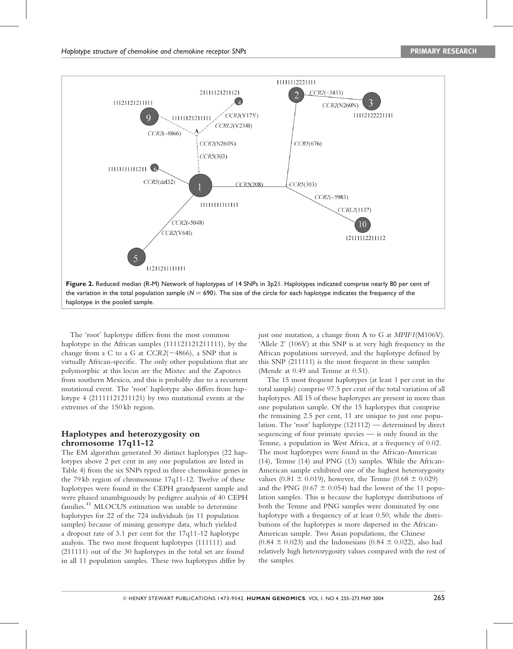

The 'root' haplotype differs from the most common haplotype in the African samples (111121121211111), by the change from a C to a G at  $CCR2(-4866)$ , a SNP that is virtually African-specific. The only other populations that are polymorphic at this locus are the Mixtec and the Zapotecs from southern Mexico, and this is probably due to a recurrent mutational event. The 'root' haplotype also differs from haplotype 4 (21111121211121) by two mutational events at the extremes of the 150 kb region.

### Haplotypes and heterozygosity on chromosome 17q11-12

The EM algorithm generated 30 distinct haplotypes (22 haplotypes above 2 per cent in any one population are listed in Table 4) from the six SNPs typed in three chemokine genes in the 79 kb region of chromosome 17q11-12. Twelve of these haplotypes were found in the CEPH grandparent sample and were phased unambiguously by pedigree analysis of 40 CEPH families. <sup>4</sup><sup>1</sup> MLOCUS estimation was unable to determine haplotypes for 22 of the 724 individuals (in 11 population samples) because of missing genotype data, which yielded a dropout rate of 3.1 per cent for the 17q11-12 haplotype analysis. The two most frequent haplotypes (111111) and (211111) out of the 30 haplotypes in the total set are found in all 11 population samples. These two haplotypes differ by

just one mutation, a change from A to G at MPIF1(M106V). 'Allele 2' (106V) at this SNP is at very high frequency in the African populations surveyed, and the haplotype defined by this SNP (211111) is the most frequent in these samples (Mende at 0.49 and Temne at 0.51).

The 15 most frequent haplotypes (at least 1 per cent in the total sample) comprise 97.5 per cent of the total variation of all haplotypes. All 15 of these haplotypes are present in more than one population sample. Of the 15 haplotypes that comprise the remaining 2.5 per cent, 11 are unique to just one population. The 'root' haplotype (121112) — determined by direct sequencing of four primate species — is only found in the Temne, a population in West Africa, at a frequency of 0.02. The most haplotypes were found in the African-American (14), Temne (14) and PNG (13) samples. While the African-American sample exhibited one of the highest heterozygosity values (0.81  $\pm$  0.019), however, the Temne (0.68  $\pm$  0.029) and the PNG (0.67  $\pm$  0.054) had the lowest of the 11 population samples. This is because the haplotype distributions of both the Temne and PNG samples were dominated by one haplotype with a frequency of at least 0.50, while the distributions of the haplotypes is more dispersed in the African-American sample. Two Asian populations, the Chinese  $(0.84 \pm 0.023)$  and the Indonesians  $(0.84 \pm 0.022)$ , also had relatively high heterozygosity values compared with the rest of the samples.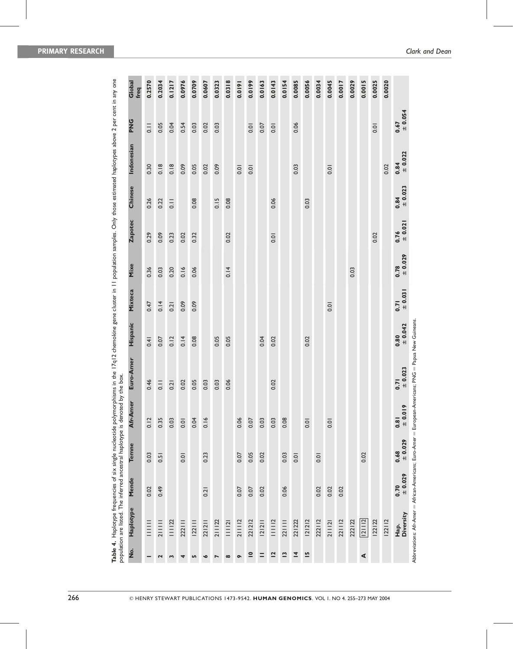|                                                                                | Global<br>freq     | 0.2570            | 0.2034        | 0.1217        | 0.0976 | 0.0709 | 0.0607    | 0.0323 | 0.0318   | 0.0191    | 0.0199                   | 0.0163   | 0.0143         | 0.0154       | 0.0085         | 0.0056         | 0.0034 | 0.0045 | 0.0017 | 0.0029 | 0.0015 | 0.0025 | 0.0020 |                                          |                                                                                                        |
|--------------------------------------------------------------------------------|--------------------|-------------------|---------------|---------------|--------|--------|-----------|--------|----------|-----------|--------------------------|----------|----------------|--------------|----------------|----------------|--------|--------|--------|--------|--------|--------|--------|------------------------------------------|--------------------------------------------------------------------------------------------------------|
|                                                                                | <b>PNG</b>         | $\frac{1}{2}$     | 0.05          | 0.04          | 0.54   | 0.03   | 0.02      | 0.03   |          |           | 0.01                     | 0.07     | 0.01           |              | 0.06           |                |        |        |        |        |        | 0.01   |        | $= 0.054$<br>0.67                        |                                                                                                        |
|                                                                                | Indonesian         | 0.30              | 0.18          | 0.18          | 0.09   | 0.05   | 0.02      | 0.09   |          | 0.01      | 0.01                     |          |                |              | 0.03           |                |        | 0.01   |        |        |        |        | 0.02   | $0.84$<br>$\pm 0.022$                    |                                                                                                        |
|                                                                                | Chinese            | 0.26              | 0.22          | $\frac{1}{2}$ |        | 0.08   |           | 0.15   | 0.08     |           |                          |          | 0.06           |              |                | 0.03           |        |        |        |        |        |        |        | $= 0.023$<br>0.84                        |                                                                                                        |
|                                                                                | <b>Zapotec</b>     | 0.29              | 0.09          | 0.23          | 0.02   | 0.32   |           |        | 0.02     |           |                          |          | 0.01           |              |                |                |        |        |        |        |        | 0.02   |        | $= 0.021$<br>0.76                        |                                                                                                        |
|                                                                                | Mixe               | 0.36              | 0.03          | 0.20          | 0.16   | 0.06   |           |        | 0.14     |           |                          |          |                |              |                |                |        |        |        | 0.03   |        |        |        | $0.78$<br>$\pm 0.029$                    |                                                                                                        |
|                                                                                | Mixteca            | 0.47              | 0.14          | 0.21          | 0.09   | 0.09   |           |        |          |           |                          |          |                |              |                |                |        | 0.01   |        |        |        |        |        | $0.71$<br>$\pm 0.031$                    |                                                                                                        |
|                                                                                | Hispanic           | 0.41              | 0.07          | 0.12          | 0.14   | 0.08   |           | 0.05   | 0.05     |           |                          | 0.04     | 0.02           |              |                | 0.02           |        |        |        |        |        |        |        | $0.80$<br>$\pm 0.042$                    |                                                                                                        |
|                                                                                | Euro-Amer          | 0.46              | $\frac{1}{2}$ | 0.21          | 0.02   | 0.05   | 0.03      | 0.03   | 0.06     |           |                          |          | 0.02           |              |                |                |        |        |        |        |        |        |        | $0.71$<br>$\pm 0.023$                    | Abbreviations: Afr-Amer = African-Americans; Euro-Amer = European-Americans; PNG = Papua New Guineans. |
| population are listed. The inferred ancestral haplotype is denoted by the box. | Afr-Amer           | 0.12              | 0.35          | 0.03          | 0.01   | 0.04   | 0.16      |        |          | 0.06      | 0.07                     | 0.03     | 0.03           | 0.08         |                | $\overline{0}$ |        | 0.01   |        |        |        |        |        | $\frac{9}{10}$<br>$\frac{1}{10}$<br>0.81 |                                                                                                        |
|                                                                                | Temne              | 0.03              | 0.51          |               | 0.01   |        | 0.23      |        |          | 0.07      | 0.05                     | 0.02     |                | 0.03         | 0.01           |                | 0.01   |        |        |        | 0.02   |        |        | 10.029<br>0.68                           |                                                                                                        |
|                                                                                | Mende              | 0.02              | 0.49          |               |        |        | 0.21      |        |          | 0.07      | 0.07                     | 0.02     |                | 0.06         |                |                | 0.02   | 0.02   | 0.02   |        |        |        |        | 10.029<br>0.70                           |                                                                                                        |
|                                                                                | Haplotype          | III<br>III<br>III | $211111$      | 111122        | 222111 | 22 1   | 221211    | 211122 | 111121   | $211112$  | 221212                   | 2 2      | 11112          | 221111       | 221222         | 121212         | 222112 | 211121 | 221112 | 222122 | 21112  | 122122 | 22  2  | Diversity<br>Hap.                        |                                                                                                        |
|                                                                                | $\dot{\mathsf{z}}$ |                   | 2             | 3             | 4      | Lŋ     | $\bullet$ | N      | $\infty$ | $\bullet$ | $\overline{\phantom{a}}$ | $\equiv$ | $\overline{2}$ | $\mathbf{r}$ | $\overline{4}$ | $\overline{5}$ |        |        |        |        | ⋖      |        |        |                                          |                                                                                                        |

Table 4. Haplotype frequencies of six single nucleotide polymorphisms in the 17q12 chemokine gene cluster in 11 population samples. Only those estimated haplotypes above 2 per cent in any one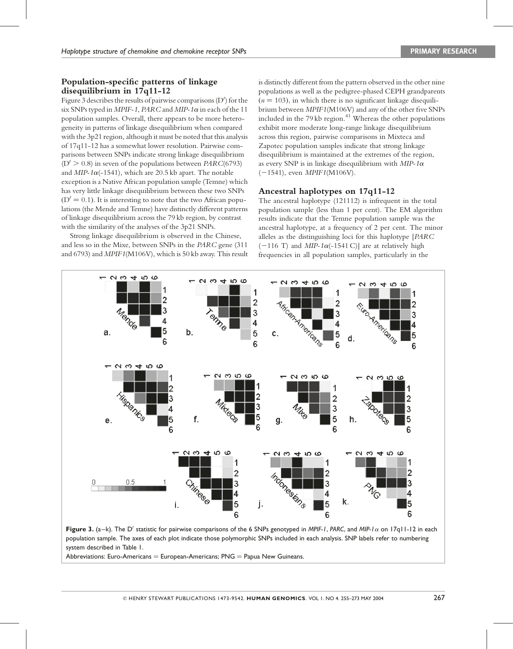## Population-specific patterns of linkage disequilibrium in 17q11-12

Figure 3 describes the results of pairwise comparisons (D') for the six SNPs typed in MPIF-1, PARC and MIP-1 $\alpha$  in each of the 11 population samples. Overall, there appears to be more heterogeneity in patterns of linkage disequilibrium when compared with the 3p21 region, although it must be noted that this analysis of 17q11-12 has a somewhat lower resolution. Pairwise comparisons between SNPs indicate strong linkage disequilibrium  $(D' > 0.8)$  in seven of the populations between PARC(6793) and  $MIP-1\alpha(-1541)$ , which are 20.5 kb apart. The notable exception isa Native African population sample (Temne) which has very little linkage disequilibrium between these two SNPs  $(D' = 0.1)$ . It is interesting to note that the two African populations (the Mende and Temne) have distinctly different patterns of linkage disequilibrium across the 79 kb region, by contrast with the similarity of the analyses of the 3p21 SNPs.

Strong linkage disequilibrium is observed in the Chinese, and less so in the Mixe, between SNPs in the PARC gene (311 and 6793) and MPIF1(M106V), which is 50 kb away. This result

is distinctly different from the pattern observed in the other nine populations as well as the pedigree-phased CEPH grandparents  $(n = 103)$ , in which there is no significant linkage disequilibrium between MPIF1(M106V) and any of the other five SNPs included in the 79 kb region. <sup>4</sup><sup>1</sup> Whereas the other populations exhibit more moderate long-range linkage disequilibrium across this region, pairwise comparisons in Mixteca and Zapotec population samples indicate that strong linkage disequilibrium is maintained at the extremes of the region, as every SNP is in linkage disequilibrium with  $MIP-1\alpha$  $(-1541)$ , even *MPIF1*(M106V).

## Ancestral haplotypes on 17q11-12

The ancestral haplotype (121112) is infrequent in the total population sample (less than 1 per cent). The EM algorithm results indicate that the Temne population sample was the ancestral haplotype, at a frequency of 2 per cent. The minor alleles as the distinguishing loci for this haplotype [PARC  $(-116 \text{ T})$  and MIP-1 $\alpha$ (-1541 C)] are at relatively high frequencies in all population samples, particularly in the



**Figure 3.** (a–k). The D' statistic for pairwise comparisons of the 6 SNPs genotyped in MPIF-1, PARC, and MIP-1 $\alpha$  on 17q11-12 in each population sample. The axes of each plot indicate those polymorphic SNPs included in each analysis. SNP labels refer to numbering system described in Table 1.

Abbreviations: Euro-Americans  $=$  European-Americans; PNG  $=$  Papua New Guineans.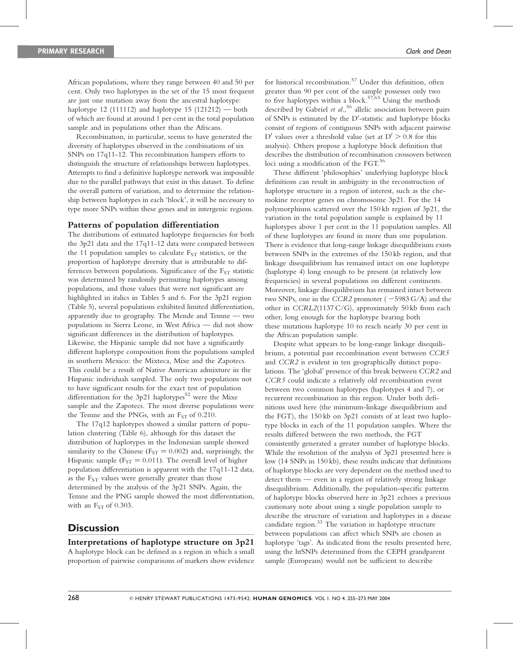African populations, where they range between 40 and 50 per cent. Only two haplotypes in the set of the 15 most frequent are just one mutation away from the ancestral haplotype: haplotype 12 (111112) and haplotype 15 (121212) — both of which are found at around 1 per cent in the total population sample and in populations other than the Africans.

Recombination, in particular, seems to have generated the diversity of haplotypes observed in the combinations of six SNPs on 17q11-12. This recombination hampers efforts to distinguish the structure of relationships between haplotypes. Attempts to find a definitive haplotype network was impossible due to the parallel pathways that exist in this dataset. To define the overall pattern of variation, and to determine the relationship between haplotypes in each 'block', it will be necessary to type more SNPs within these genes and in intergenic regions.

#### Patterns of population differentiation

The distributions of estimated haplotype frequencies for both the 3p21 data and the 17q11-12 data were compared between the 11 population samples to calculate  $F_{ST}$  statistics, or the proportion of haplotype diversity that is attributable to differences between populations. Significance of the  $F_{ST}$  statistic was determined by randomly permuting haplotypes among populations, and those values that were not significant are highlighted in italics in Tables 5 and 6. For the 3p21 region (Table 5), several populations exhibited limited differentiation, apparently due to geography. The Mende and Temne — two populations in Sierra Leone, in West Africa — did not show significant differences in the distribution of haplotypes. Likewise, the Hispanic sample did not have a significantly different haplotype composition from the populations sampled in southern Mexico: the Mixteca, Mixe and the Zapotecs. This could be a result of Native American admixture in the Hispanic individuals sampled. The only two populations not to have significant results for the exact test of population differentiation for the 3p21 haplotypes <sup>5</sup><sup>2</sup> were the Mixe sample and the Zapotecs. The most diverse populations were the Temne and the PNGs, with an  $F_{ST}$  of 0.210.

The 17q12 haplotypes showed a similar pattern of population clustering (Table 6), although for this dataset the distribution of haplotypes in the Indonesian sample showed similarity to the Chinese ( $F_{ST} = 0.002$ ) and, surprisingly, the Hispanic sample ( $F_{ST} = 0.011$ ). The overall level of higher population differentiation is apparent with the 17q11-12 data, as the  $F_{ST}$  values were generally greater than those determined by the analysis of the 3p21 SNPs. Again, the Temne and the PNG sample showed the most differentiation, with an  $F_{ST}$  of 0.303.

## **Discussion**

#### Interpretations of haplotype structure on 3p21

A haplotype block can be defined as a region in which a small proportion of pairwise comparisons of markers show evidence

for historical recombination. <sup>5</sup><sup>7</sup> Under this definition, often greater than 90 per cent of the sample possesses only two to five haplotypes within a block. <sup>5</sup>7,<sup>63</sup> Using the methods described by Gabriel et al.,<sup>56</sup> allelic association between pairs of SNPs is estimated by the  $D'$ -statistic and haplotype blocks consist of regions of contiguous SNPs with adjacent pairwise D' values over a threshold value (set at  $D' \geq 0.8$  for this analysis). Others propose a haplotype block definition that describes the distribution of recombination crossovers between loci using a modification of the FGT. 56

These different 'philosophies' underlying haplotype block definitions can result in ambiguity in the reconstruction of haplotype structure in a region of interest, such as the chemokine receptor genes on chromosome 3p21. For the 14 polymorphisms scattered over the 150 kb region of 3p21, the variation in the total population sample is explained by 11 haplotypes above 1 per cent in the 11 population samples. All of these haplotypes are found in more than one population. There is evidence that long-range linkage disequilibrium exists between SNPs in the extremes of the 150 kb region, and that linkage disequilibrium has remained intact on one haplotype (haplotype 4) long enough to be present (at relatively low frequencies) in several populations on different continents. Moreover, linkage disequilibrium has remained intact between two SNPs, one in the CCR2 promoter  $(-5983 \text{ G/A})$  and the other in CCRL2(1137 C/G), approximately 50 kb from each other, long enough for the haplotype bearing both these mutations haplotype 10 to reach nearly 30 per cent in the African population sample.

Despite what appears to be long-range linkage disequilibrium, a potential past recombination event between CCR5 and CCR2 is evident in ten geographically distinct populations. The 'global' presence of this break between CCR2 and CCR5 could indicate a relatively old recombination event between two common haplotypes (haplotypes 4 and 7), or recurrent recombination in this region. Under both definitions used here (the minimum-linkage disequilibrium and the FGT), the 150 kb on 3p21 consists of at least two haplotype blocks in each of the 11 population samples. Where the results differed between the two methods, the FGT consistently generated a greater number of haplotype blocks. While the resolution of the analysis of 3p21 presented here is low (14 SNPs in 150 kb), these results indicate that definitions of haplotype blocks are very dependent on the method used to detect them — even in a region of relatively strong linkage disequilibrium. Additionally, the population-specific patterns of haplotype blocks observed here in 3p21 echoes a previous cautionary note about using a single population sample to describe the structure of variation and haplotypes in a disease candidate region. <sup>33</sup> The variation in haplotype structure between populations can affect which SNPs are chosen as haplotype 'tags'. As indicated from the results presented here, using the htSNPs determined from the CEPH grandparent sample (Europeans) would not be sufficient to describe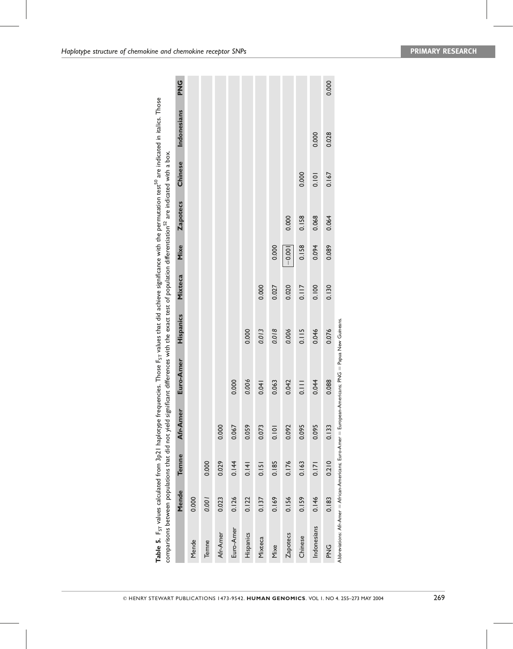|                 |       |       |          | Table 5. F <sub>ST</sub> values calculated from 3p21 haplotype frequencies. Those F <sub>ST</sub> values that did achieve significance with the permutation test <sup>50</sup> are indicated in italics. Those<br>comparisons between populations that did not yield significant differences with the exact test of population differentiation <sup>32</sup> are indicated with a box. |           |                |          |                 |         |             |            |
|-----------------|-------|-------|----------|----------------------------------------------------------------------------------------------------------------------------------------------------------------------------------------------------------------------------------------------------------------------------------------------------------------------------------------------------------------------------------------|-----------|----------------|----------|-----------------|---------|-------------|------------|
|                 | Mende | Temne | Afr-Amer | Euro-Amer                                                                                                                                                                                                                                                                                                                                                                              | Hispanics | <b>Mixteca</b> | Mixe     | <b>Zapotecs</b> | Chinese | Indonesians | <b>UNG</b> |
| Mende           | 0.000 |       |          |                                                                                                                                                                                                                                                                                                                                                                                        |           |                |          |                 |         |             |            |
| Temne           | 1001  | 0.000 |          |                                                                                                                                                                                                                                                                                                                                                                                        |           |                |          |                 |         |             |            |
| Afr-Amer        | 0.023 | 0.029 | 0.000    |                                                                                                                                                                                                                                                                                                                                                                                        |           |                |          |                 |         |             |            |
| Euro-Amer       | 0.126 | 0.144 | 0.067    | 0.000                                                                                                                                                                                                                                                                                                                                                                                  |           |                |          |                 |         |             |            |
| Hispanics       | 0.122 | 0.141 | 0.059    | 0.006                                                                                                                                                                                                                                                                                                                                                                                  | 0.000     |                |          |                 |         |             |            |
| Mixteca         | 0.137 | 0.151 | 0.073    | 0.041                                                                                                                                                                                                                                                                                                                                                                                  | 0.013     | 0.000          |          |                 |         |             |            |
| Mixe            | 0.169 | 0.185 | 0.101    | 0.063                                                                                                                                                                                                                                                                                                                                                                                  | 0.018     | 0.027          | 0.000    |                 |         |             |            |
| <b>Zapotecs</b> | 0.156 | 0.176 | 0.092    | 0.042                                                                                                                                                                                                                                                                                                                                                                                  | 0.006     | 0.020          | $-0.001$ | 0.000           |         |             |            |
| Chinese         | 0.159 | 0.163 | 0.095    | $\frac{1}{2}$                                                                                                                                                                                                                                                                                                                                                                          | 0.115     | 0.117          | 0.158    | 0.158           | 0.000   |             |            |
| Indonesians     | 0.146 | 0.171 | 0.095    | 0.044                                                                                                                                                                                                                                                                                                                                                                                  | 0.046     | 0.100          | 0.094    | 0.068           | 0.101   | 0.000       |            |
| ር<br>አ          | 0.183 | 0.210 | 0.133    | 0.088                                                                                                                                                                                                                                                                                                                                                                                  | 0.076     | 0.130          | 0.089    | 0.064           | 0.167   | 0.028       | 0.000      |
|                 |       |       |          | Abbreviations: Afr-Amer = African-Americans; Euro-Amer = European-Americans; PNG = Papua New Guineans.                                                                                                                                                                                                                                                                                 |           |                |          |                 |         |             |            |

© HENRY STEWART PUBLICATIONS 1473-9542. HUMAN GENOMICS. VOL 1. NO 4. 255–273 MAY 200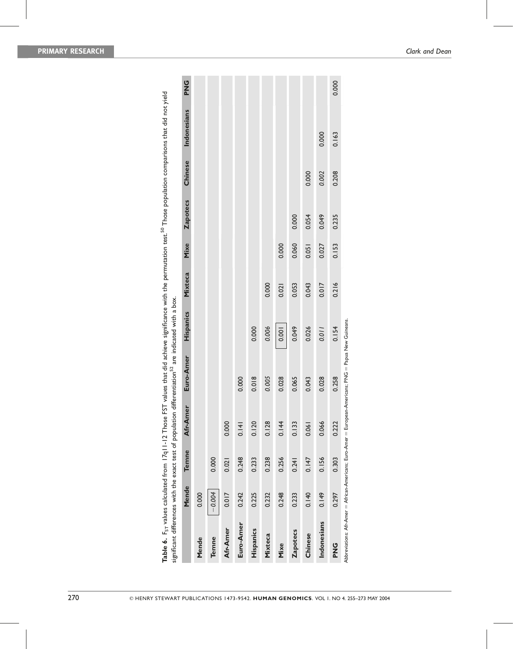|                 | Mende    | Temne | Afr-Amer | Euro-Amer                                                                                              | Hispanics | Mixteca | Mixe  | <b>Zapotecs</b> | Chinese | Indonesians | <b>UNG</b> |
|-----------------|----------|-------|----------|--------------------------------------------------------------------------------------------------------|-----------|---------|-------|-----------------|---------|-------------|------------|
| Mende           | 0.000    |       |          |                                                                                                        |           |         |       |                 |         |             |            |
| Temne           | $-0.004$ | 0.000 |          |                                                                                                        |           |         |       |                 |         |             |            |
| Afr-Amer        | 0.017    | 0.021 | 0.000    |                                                                                                        |           |         |       |                 |         |             |            |
| Euro-Amer       | 0.242    | 0.248 | 0.141    | 0.000                                                                                                  |           |         |       |                 |         |             |            |
| Hispanics       | 0.225    | 0.233 | 0.120    | 0.018                                                                                                  | 0.000     |         |       |                 |         |             |            |
| Mixteca         | 0.232    | 0.238 | 0.128    | 0.005                                                                                                  | 0.006     | 0.000   |       |                 |         |             |            |
| Mixe            | 0.248    | 0.256 | 0.144    | 0.028                                                                                                  | 0.001     | 0.021   | 0.000 |                 |         |             |            |
| <b>Zapotecs</b> | 0.233    | 0.241 | 0.133    | 0.065                                                                                                  | 0.049     | 0.053   | 0.060 | 0.000           |         |             |            |
| Chinese         | 0.140    | 0.147 | 0.061    | 0.043                                                                                                  | 0.026     | 0.043   | 0.051 | 0.054           | 0.000   |             |            |
| Indonesians     | 0.149    | 0.156 | 0.066    | 0.028                                                                                                  | 1100      | 0.017   | 0.027 | 0.049           | 0.002   | 0.000       |            |
| <b>UNG</b>      | 0.297    | 0.303 | 0.222    | 0.258                                                                                                  | 0.154     | 0.216   | 0.153 | 0.235           | 0.208   | 0.163       | 0.000      |
|                 |          |       |          | Abbreviations: Afr-Amer = African-Americans; Euro-Amer = European-Americans; PNG = Papua New Guineans. |           |         |       |                 |         |             |            |
|                 |          |       |          |                                                                                                        |           |         |       |                 |         |             |            |

| フラミュンニ フランコニ<br>h the permitation fect " Those population comparisons that did not viald<br>)<br>⇒<br>⇒<br>=<br>ייני בארא המונייני |                                                                                                     |
|------------------------------------------------------------------------------------------------------------------------------------|-----------------------------------------------------------------------------------------------------|
| I<br>í<br>3<br>.<br>.<br>. use FST values that did achieve significance with<br><b>Soul</b><br>ī                                   | š<br>ś<br>$-201$<br>)<br>}<br>}<br>n <sup>--</sup> are ing.<br>í<br>ıtion differentiation<br>ì<br>j |
| Ş<br>į<br>l<br>j<br>$-1$<br>lues cal<br>$\frac{1}{2}$<br>ٺ<br>.<br>¢                                                               | ţ                                                                                                   |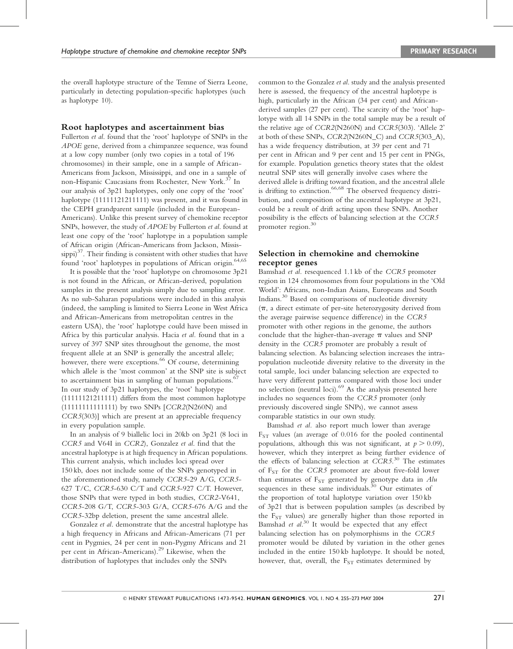the overall haplotype structure of the Temne of Sierra Leone, particularly in detecting population-specific haplotypes (such as haplotype 10).

#### Root haplotypes and ascertainment bias

Fullerton et al. found that the 'root' haplotype of SNPs in the APOE gene, derived from a chimpanzee sequence, was found at a low copy number (only two copies in a total of 196 chromosomes) in their sample, one in a sample of African-Americans from Jackson, Mississippi, and one in a sample of non-Hispanic Caucasians from Rochester, New York.<sup>37</sup> In our analysis of 3p21 haplotypes, only one copy of the 'root' haplotype (11111121211111) was present, and it was found in the CEPH grandparent sample (included in the European-Americans). Unlike this present survey of chemokine receptor SNPs, however, the study of APOE by Fullerton et al. found at least one copy of the 'root' haplotype in a population sample of African origin (African-Americans from Jackson, Missis- $\text{suppi})^{37}$ . Their finding is consistent with other studies that have found 'root' haplotypes in populations of African origin.<sup>64,65</sup>

It is possible that the 'root' haplotype on chromosome 3p21 is not found in the African, or African-derived, population samples in the present analysis simply due to sampling error. As no sub-Saharan populations were included in this analysis (indeed, the sampling is limited to Sierra Leone in West Africa and African-Americans from metropolitan centres in the eastern USA), the 'root' haplotype could have been missed in Africa by this particular analysis. Hacia et al. found that in a survey of 397 SNP sites throughout the genome, the most frequent allele at an SNP is generally the ancestral allele; however, there were exceptions. <sup>66</sup> Of course, determining which allele is the 'most common' at the SNP site is subject to ascertainment bias in sampling of human populations.<sup>67</sup> In our study of 3p21 haplotypes, the 'root' haplotype (11111121211111) differs from the most common haplotype (11111111111111) by two SNPs [CCR2(N260N) and CCR5(303)] which are present at an appreciable frequency in every population sample.

In an analysis of 9 biallelic loci in 20kb on 3p21 (8 loci in CCR5 and V64I in CCR2), Gonzalez et al. find that the ancestral haplotype is at high frequency in African populations. This current analysis, which includes loci spread over 150 kb, does not include some of the SNPs genotyped in the aforementioned study, namely CCR5-29 A/G, CCR5- 627 T/C, CCR5-630 C/T and CCR5-927 C/T. However, those SNPs that were typed in both studies, CCR2-V641, CCR5-208 G/T, CCR5-303 G/A, CCR5-676 A/G and the CCR5-32bp deletion, present the same ancestral allele.

Gonzalez et al. demonstrate that the ancestral haplotype has a high frequency in Africans and African-Americans (71 per cent in Pygmies, 24 per cent in non-Pygmy Africans and 21 per cent in African-Americans).<sup>29</sup> Likewise, when the distribution of haplotypes that includes only the SNPs

common to the Gonzalez et al. study and the analysis presented here is assessed, the frequency of the ancestral haplotype is high, particularly in the African (34 per cent) and Africanderived samples (27 per cent). The scarcity of the 'root' haplotype with all 14 SNPs in the total sample may be a result of the relative age of CCR2(N260N) and CCR5(303). 'Allele 2' at both of these SNPs, CCR2(N260N\_C) and CCR5(303\_A), has a wide frequency distribution, at 39 per cent and 71 per cent in African and 9 per cent and 15 per cent in PNGs, for example. Population genetics theory states that the oldest neutral SNP sites will generally involve cases where the derived allele is drifting toward fixation, and the ancestral allele is drifting to extinction. <sup>66</sup>,6<sup>8</sup> The observed frequency distribution, and composition of the ancestral haplotype at 3p21, could be a result of drift acting upon these SNPs. Another possibility is the effects of balancing selection at the CCR5 promoter region. 30

### Selection in chemokine and chemokine receptor genes

Bamshad et al. resequenced 1.1 kb of the CCR5 promoter region in 124 chromosomes from four populations in the 'Old World': Africans, non-Indian Asians, Europeans and South Indians. <sup>30</sup> Based on comparisons of nucleotide diversity  $(\pi, a)$  direct estimate of per-site heterozygosity derived from the average pairwise sequence difference) in the CCR5 promoter with other regions in the genome, the authors conclude that the higher-than-average  $\pi$  values and SNP density in the CCR5 promoter are probably a result of balancing selection. As balancing selection increases the intrapopulation nucleotide diversity relative to the diversity in the total sample, loci under balancing selection are expected to have very different patterns compared with those loci under no selection (neutral loci).<sup>69</sup> As the analysis presented here includes no sequences from the CCR5 promoter (only previously discovered single SNPs), we cannot assess comparable statistics in our own study.

Bamshad et al. also report much lower than average  $F_{ST}$  values (an average of 0.016 for the pooled continental populations, although this was not significant, at  $p > 0.09$ ), however, which they interpret as being further evidence of the effects of balancing selection at CCR5.<sup>30</sup> The estimates of F<sub>ST</sub> for the CCR5 promoter are about five-fold lower than estimates of  $F_{ST}$  generated by genotype data in  $Alu$ sequences in these same individuals.<sup>30</sup> Our estimates of the proportion of total haplotype variation over 150 kb of 3p21 that is between population samples (as described by the F<sub>ST</sub> values) are generally higher than those reported in Bamshad et al.<sup>30</sup> It would be expected that any effect balancing selection has on polymorphisms in the CCR5 promoter would be diluted by variation in the other genes included in the entire 150 kb haplotype. It should be noted, however, that, overall, the  $F_{ST}$  estimates determined by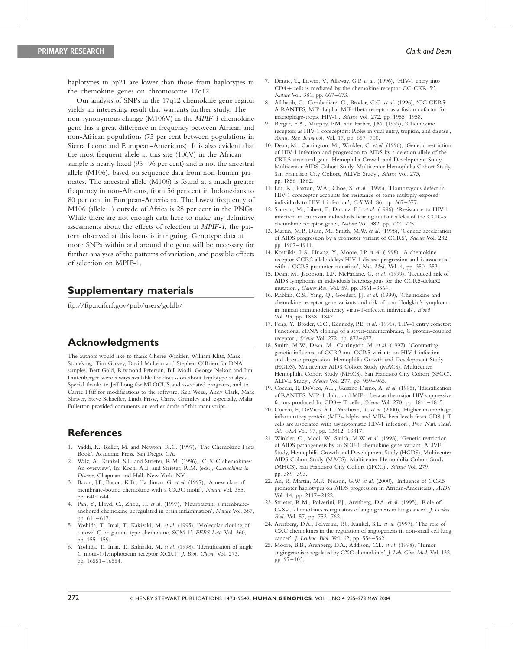haplotypes in 3p21 are lower than those from haplotypes in the chemokine genes on chromosome 17q12.

Our analysis of SNPs in the 17q12 chemokine gene region yields an interesting result that warrants further study. The non-synonymous change (M106V) in the MPIF-1 chemokine gene has a great difference in frequency between African and non-African populations (75 per cent between populations in Sierra Leone and European-Americans). It is also evident that the most frequent allele at this site (106V) in the African sample is nearly fixed (95–96 per cent) and is not the ancestral allele (M106), based on sequence data from non-human primates. The ancestral allele (M106) is found at a much greater frequency in non-Africans, from 56 per cent in Indonesians to 80 per cent in European-Americans. The lowest frequency of M106 (allele 1) outside of Africa is 28 per cent in the PNGs. While there are not enough data here to make any definitive assessments about the effects of selection at MPIF-1, the pattern observed at this locus is intriguing. Genotype data at more SNPs within and around the gene will be necessary for further analyses of the patterns of variation, and possible effects of selection on MPIF-1.

# Supplementary materials

ftp://ftp.ncifcrf.gov/pub/users/goldb/

# Acknowledgments

The authors would like to thank Cherie Winkler, William Klitz, Mark Stoneking, Tim Garvey, David McLean and Stephen O'Brien for DNA samples. Bert Gold, Raymond Peterson, Bill Modi, George Nelson and Jim Lautenberger were always available for discussion about haplotype analysis. Special thanks to Jeff Long for MLOCUS and associated programs, and to Carrie Pfaff for modifications to the software. Ken Weiss, Andy Clark, Mark Shriver, Steve Schaeffer, Linda Frisse, Carrie Grimsley and, especially, Malia Fullerton provided comments on earlier drafts of this manuscript.

# **References**

- 1. Vaddi, K., Keller, M. and Newton, R.C. (1997), 'The Chemokine Facts Book', Academic Press, San Diego, CA.
- 2. Walz, A., Kunkel, S.L. and Strieter, R.M. (1996), 'C-X-C chemokines: An overview', In: Koch, A.E. and Strieter, R.M. (eds.), Chemokines in Disease, Chapman and Hall, New York, NY .
- 3. Bazan, J.F., Bacon, K.B., Hardiman, G. et al. (1997), 'A new class of membrane-bound chemokine with a CX3C motif', Nature Vol. 385, pp. 640–644.
- 4. Pan, Y., Lloyd, C., Zhou, H. et al. (1997), 'Neurotactin, a membraneanchored chemokine upregulated in brain inflammation', Nature Vol. 387, pp. 611–617.
- 5. Yoshida, T., Imai, T., Kakizaki, M. et al. (1995), 'Molecular cloning of a novel C or gamma type chemokine, SCM-1', FEBS Lett. Vol. 360, pp. 155–159.
- Yoshida, T., Imai, T., Kakizaki, M. et al. (1998), 'Identification of single C motif-1/lymphotactin receptor XCR1', J. Biol. Chem. Vol. 273, pp. 16551–16554.
- 7. Dragic, T., Litwin, V., Allaway, G.P. et al. (1996), 'HIV-1 entry into  $CD4 +$  cells is mediated by the chemokine receptor CC-CKR-5'', Nature Vol. 381, pp. 667–673.
- 8. Alkhatib, G., Combadiere, C., Broder, C.C. et al. (1996), 'CC CKR5: A RANTES, MIP-1alpha, MIP-1beta receptor as a fusion cofactor for macrophage-tropic HIV-1', Science Vol. 272, pp. 1955–1958.
- 9. Berger, E.A., Murphy, P.M. and Farber, J.M. (1999), 'Chemokine receptors as HIV-1 coreceptors: Roles in viral entry, tropism, and disease', Annu. Rev. Immunol. Vol. 17, pp. 657–700.
- 10. Dean, M., Carrington, M., Winkler, C. et al. (1996), 'Genetic restriction of HIV-1 infection and progression to AIDS by a deletion allele of the CKR5 structural gene. Hemophilia Growth and Development Study, Multicenter AIDS Cohort Study, Multicenter Hemophilia Cohort Study, San Francisco City Cohort, ALIVE Study', Science Vol. 273, pp. 1856–1862.
- 11. Liu, R., Paxton, W.A., Choe, S. et al. (1996), 'Homozygous defect in HIV-1 coreceptor accounts for resistance of some multiply-exposed individuals to HIV-1 infection', Cell Vol. 86, pp. 367–377.
- 12. Samson, M., Libert, F., Doranz, B.J. et al. (1996), 'Resistance to HIV-1 infection in caucasian individuals bearing mutant alleles of the CCR-5 chemokine receptor gene', Nature Vol. 382, pp. 722–725.
- 13. Martin, M.P., Dean, M., Smith, M.W. et al. (1998), 'Genetic acceleration of AIDS progression by a promoter variant of CCR5', Science Vol. 282, pp. 1907–1911.
- 14. Kostrikis, L.S., Huang, Y., Moore, J.P. et al. (1998), 'A chemokine receptor CCR2 allele delays HIV-1 disease progression and is associated with a CCR5 promoter mutation', Nat. Med. Vol. 4, pp. 350-353.
- 15. Dean, M., Jacobson, L.P., McFarlane, G. et al. (1999), 'Reduced risk of AIDS lymphoma in individuals heterozygous for the CCR5-delta32 mutation', Cancer Res. Vol. 59, pp. 3561–3564.
- 16. Rabkin, C.S., Yang, Q., Goedert, J.J. et al. (1999), 'Chemokine and chemokine receptor gene variants and risk of non-Hodgkin's lymphoma in human immunodeficiency virus-1-infected individuals', Blood Vol. 93, pp. 1838–1842.
- 17. Feng, Y., Broder, C.C., Kennedy, P.E. et al. (1996), 'HIV-1 entry cofactor: Functional cDNA cloning of a seven-transmembrane, G protein-coupled receptor', Science Vol. 272, pp. 872–877.
- 18. Smith, M.W., Dean, M., Carrington, M. et al. (1997), 'Contrasting genetic influence of CCR2 and CCR5 variants on HIV-1 infection and disease progression. Hemophilia Growth and Development Study (HGDS), Multicenter AIDS Cohort Study (MACS), Multicenter Hemophilia Cohort Study (MHCS), San Francisco City Cohort (SFCC), ALIVE Study', Science Vol. 277, pp. 959–965.
- 19. Cocchi, F., DeVico, A.L., Garzino-Demo, A. et al. (1995), 'Identification of RANTES, MIP-1 alpha, and MIP-1 beta as the major HIV-suppressive factors produced by  $CD8+T$  cells', Science Vol. 270, pp. 1811-1815.
- 20. Cocchi, F., DeVico, A.L., Yarchoan, R. et al. (2000), 'Higher macrophage inflammatory protein (MIP)-1alpha and MIP-1beta levels from  $CD8 + T$ cells are associated with asymptomatic HIV-1 infection', Proc. Natl. Acad. Sci. USA Vol. 97, pp. 13812-13817.
- 21. Winkler, C., Modi, W., Smith, M.W. et al. (1998), 'Genetic restriction of AIDS pathogenesis by an SDF-1 chemokine gene variant. ALIVE Study, Hemophilia Growth and Development Study (HGDS), Multicenter AIDS Cohort Study (MACS), Multicenter Hemophilia Cohort Study (MHCS), San Francisco City Cohort (SFCC)', Science Vol. 279, pp. 389–393.
- 22. An, P., Martin, M.P., Nelson, G.W. et al. (2000), 'Influence of CCR5 promoter haplotypes on AIDS progression in African-Americans', AIDS Vol. 14, pp. 2117–2122.
- 23. Strieter, R.M., Polverini, P.J., Arenberg, D.A. et al. (1995), 'Role of C-X-C chemokines as regulators of angiogenesis in lung cancer', J. Leukoc. Biol. Vol. 57, pp. 752–762.
- 24. Arenberg, D.A., Polverini, P.J., Kunkel, S.L. et al. (1997), 'The role of CXC chemokines in the regulation of angiogenesis in non-small cell lung cancer', J. Leukoc. Biol. Vol. 62, pp. 554–562.
- 25. Moore, B.B., Arenberg, D.A., Addison, C.L. et al. (1998), 'Tumor angiogenesis is regulated by CXC chemokines', J. Lab. Clin. Med. Vol. 132, pp. 97–103.